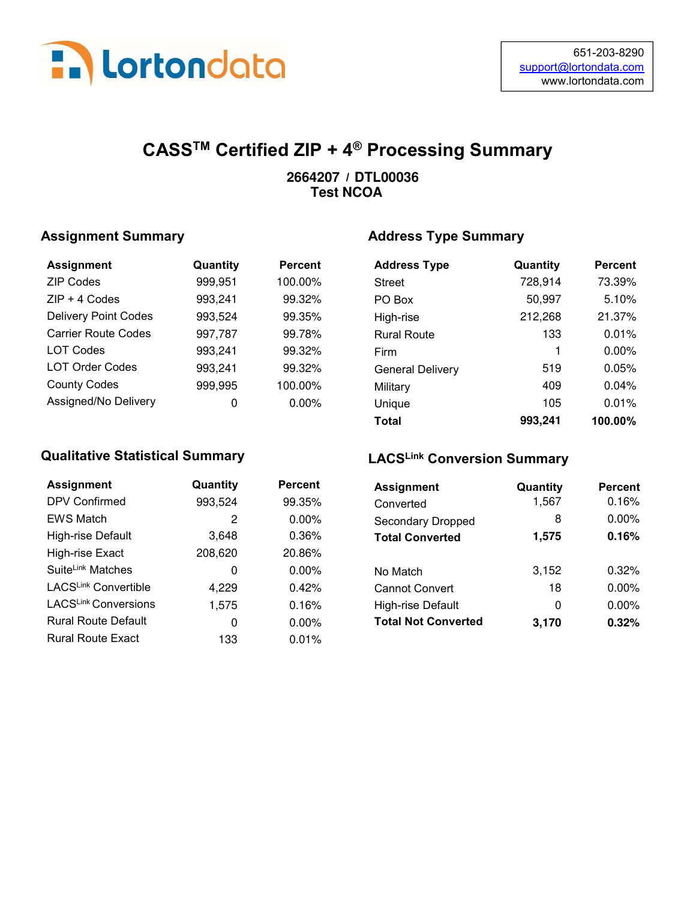

## CASSTM Certified ZIP + 4® Processing Summary

#### / **2664207 DTL00036 Test NCOA**

#### Assignment Summary

| <b>Assignment</b>           | Quantity | <b>Percent</b> |
|-----------------------------|----------|----------------|
| <b>ZIP Codes</b>            | 999,951  | 100.00%        |
| $ZIP + 4$ Codes             | 993,241  | 99.32%         |
| <b>Delivery Point Codes</b> | 993,524  | 99.35%         |
| <b>Carrier Route Codes</b>  | 997,787  | 99.78%         |
| <b>LOT Codes</b>            | 993,241  | 99.32%         |
| <b>LOT Order Codes</b>      | 993,241  | 99.32%         |
| <b>County Codes</b>         | 999,995  | 100.00%        |
| Assigned/No Delivery        |          | $0.00\%$       |

#### Qualitative Statistical Summary

| <b>Assignment</b>             | Quantity | <b>Percent</b> |
|-------------------------------|----------|----------------|
| <b>DPV Confirmed</b>          | 993,524  | 99.35%         |
| <b>EWS Match</b>              | 2        | $0.00\%$       |
| High-rise Default             | 3,648    | 0.36%          |
| High-rise Exact               | 208,620  | 20.86%         |
| Suite <sup>Link</sup> Matches | 0        | $0.00\%$       |
| LACSLink Convertible          | 4,229    | 0.42%          |
| LACSLink Conversions          | 1,575    | 0.16%          |
| <b>Rural Route Default</b>    | 0        | $0.00\%$       |
| <b>Rural Route Exact</b>      | 133      | 0.01%          |

#### Address Type Summary

| <b>Address Type</b>     | Quantity | <b>Percent</b> |
|-------------------------|----------|----------------|
| <b>Street</b>           | 728,914  | 73.39%         |
| PO Box                  | 50,997   | 5.10%          |
| High-rise               | 212,268  | 21.37%         |
| <b>Rural Route</b>      | 133      | 0.01%          |
| Firm                    | 1        | $0.00\%$       |
| <b>General Delivery</b> | 519      | 0.05%          |
| Military                | 409      | $0.04\%$       |
| Unique                  | 105      | 0.01%          |
| Total                   | 993,241  | 100.00%        |

#### LACSLink Conversion Summary

| antity | <b>Percent</b> | <b>Assignment</b>          | Quantity | <b>Percent</b> |
|--------|----------------|----------------------------|----------|----------------|
| 3,524  | 99.35%         | Converted                  | 1,567    | 0.16%          |
| 2      | 0.00%          | <b>Secondary Dropped</b>   | 8        | 0.00%          |
| 3,648  | 0.36%          | <b>Total Converted</b>     | 1,575    | 0.16%          |
| 8,620  | 20.86%         |                            |          |                |
| 0      | 0.00%          | No Match                   | 3,152    | 0.32%          |
| 4,229  | 0.42%          | <b>Cannot Convert</b>      | 18       | 0.00%          |
| 1,575  | 0.16%          | High-rise Default          | 0        | 0.00%          |
| 0      | $0.00\%$       | <b>Total Not Converted</b> | 3,170    | 0.32%          |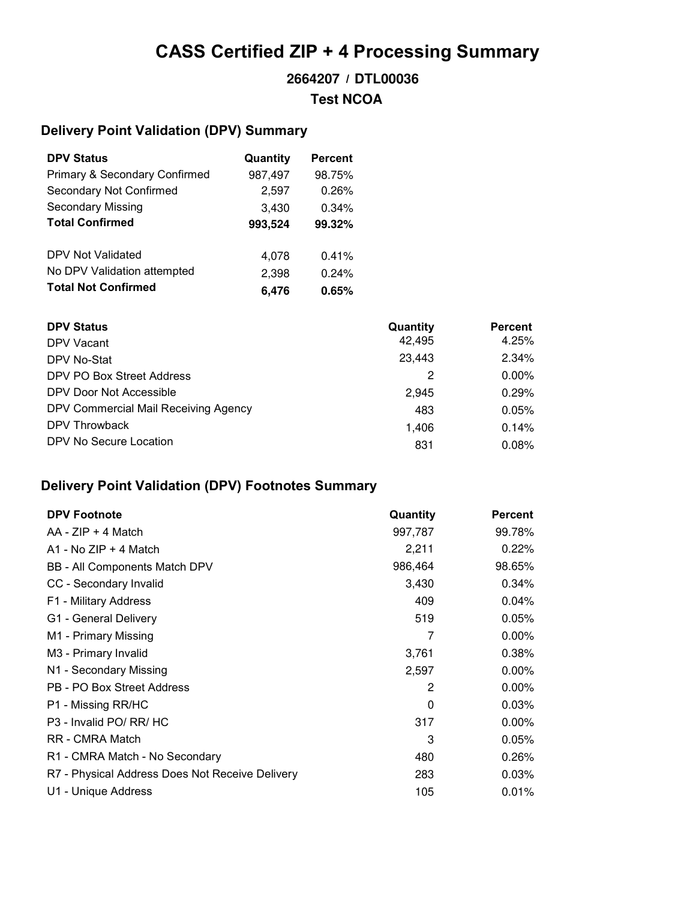## CASS Certified ZIP + 4 Processing Summary

## / **2664207 DTL00036 Test NCOA**

### Delivery Point Validation (DPV) Summary

| <b>DPV Status</b>                        | Quantity | <b>Percent</b> |
|------------------------------------------|----------|----------------|
| <b>Primary &amp; Secondary Confirmed</b> | 987,497  | 98.75%         |
| Secondary Not Confirmed                  | 2,597    | 0.26%          |
| <b>Secondary Missing</b>                 | 3,430    | 0.34%          |
| <b>Total Confirmed</b>                   | 993,524  | 99.32%         |
|                                          |          |                |
| DPV Not Validated                        | 4,078    | 0.41%          |
| No DPV Validation attempted              | 2,398    | 0.24%          |
| <b>Total Not Confirmed</b>               | 6.476    | 0.65%          |

| <b>DPV Status</b>                    | Quantity | <b>Percent</b> |
|--------------------------------------|----------|----------------|
| DPV Vacant                           | 42,495   | 4.25%          |
| DPV No-Stat                          | 23,443   | 2.34%          |
| DPV PO Box Street Address            | 2        | $0.00\%$       |
| DPV Door Not Accessible              | 2.945    | 0.29%          |
| DPV Commercial Mail Receiving Agency | 483      | 0.05%          |
| DPV Throwback                        | 1,406    | 0.14%          |
| DPV No Secure Location               | 831      | 0.08%          |

### Delivery Point Validation (DPV) Footnotes Summary

| <b>DPV Footnote</b>                             | Quantity | <b>Percent</b> |
|-------------------------------------------------|----------|----------------|
| $AA - ZIP + 4 Match$                            | 997,787  | 99.78%         |
| $A1 - No$ ZIP + 4 Match                         | 2,211    | 0.22%          |
| BB - All Components Match DPV                   | 986,464  | 98.65%         |
| CC - Secondary Invalid                          | 3,430    | 0.34%          |
| F1 - Military Address                           | 409      | 0.04%          |
| G1 - General Delivery                           | 519      | 0.05%          |
| M1 - Primary Missing                            | 7        | $0.00\%$       |
| M3 - Primary Invalid                            | 3,761    | 0.38%          |
| N1 - Secondary Missing                          | 2,597    | 0.00%          |
| PB - PO Box Street Address                      | 2        | $0.00\%$       |
| P1 - Missing RR/HC                              | 0        | 0.03%          |
| P <sub>3</sub> - Invalid PO/ RR/ HC             | 317      | $0.00\%$       |
| RR - CMRA Match                                 | 3        | 0.05%          |
| R1 - CMRA Match - No Secondary                  | 480      | 0.26%          |
| R7 - Physical Address Does Not Receive Delivery | 283      | 0.03%          |
| U1 - Unique Address                             | 105      | 0.01%          |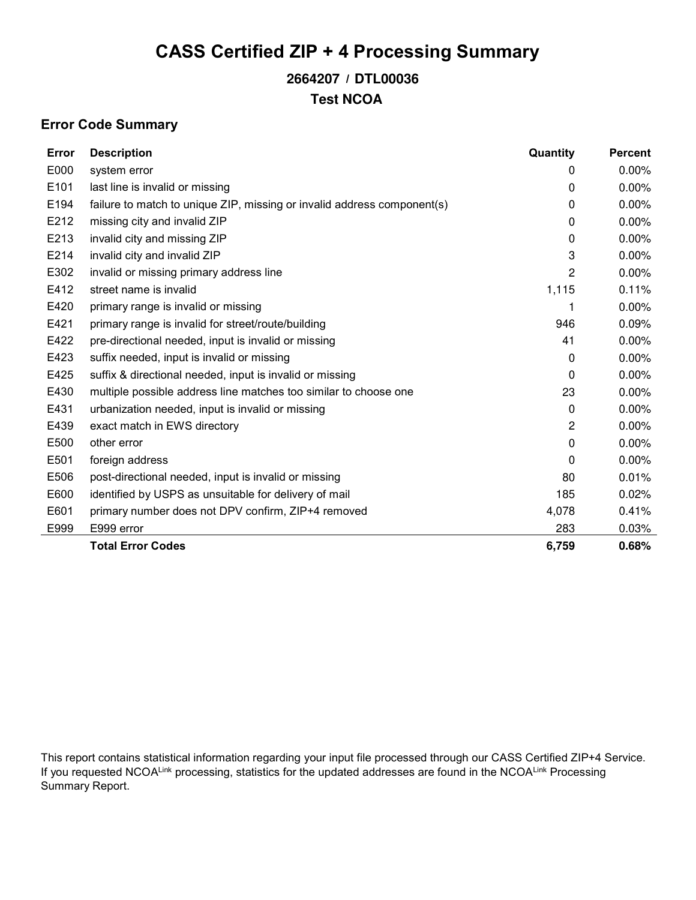## CASS Certified ZIP + 4 Processing Summary

## / **2664207 DTL00036 Test NCOA**

#### Error Code Summary

| Error | <b>Description</b>                                                      | Quantity | <b>Percent</b> |
|-------|-------------------------------------------------------------------------|----------|----------------|
| E000  | system error                                                            | 0        | 0.00%          |
| E101  | last line is invalid or missing                                         | 0        | 0.00%          |
| E194  | failure to match to unique ZIP, missing or invalid address component(s) | 0        | 0.00%          |
| E212  | missing city and invalid ZIP                                            | 0        | 0.00%          |
| E213  | invalid city and missing ZIP                                            | 0        | 0.00%          |
| E214  | invalid city and invalid ZIP                                            | 3        | 0.00%          |
| E302  | invalid or missing primary address line                                 | 2        | 0.00%          |
| E412  | street name is invalid                                                  | 1,115    | 0.11%          |
| E420  | primary range is invalid or missing                                     |          | 0.00%          |
| E421  | primary range is invalid for street/route/building                      | 946      | 0.09%          |
| E422  | pre-directional needed, input is invalid or missing                     | 41       | 0.00%          |
| E423  | suffix needed, input is invalid or missing                              | $\Omega$ | 0.00%          |
| E425  | suffix & directional needed, input is invalid or missing                | 0        | 0.00%          |
| E430  | multiple possible address line matches too similar to choose one        | 23       | 0.00%          |
| E431  | urbanization needed, input is invalid or missing                        | 0        | 0.00%          |
| E439  | exact match in EWS directory                                            | 2        | 0.00%          |
| E500  | other error                                                             | 0        | 0.00%          |
| E501  | foreign address                                                         | 0        | 0.00%          |
| E506  | post-directional needed, input is invalid or missing                    | 80       | 0.01%          |
| E600  | identified by USPS as unsuitable for delivery of mail                   | 185      | 0.02%          |
| E601  | primary number does not DPV confirm, ZIP+4 removed                      | 4,078    | 0.41%          |
| E999  | E999 error                                                              | 283      | 0.03%          |
|       | <b>Total Error Codes</b>                                                | 6,759    | 0.68%          |

This report contains statistical information regarding your input file processed through our CASS Certified ZIP+4 Service. If you requested NCOALink processing, statistics for the updated addresses are found in the NCOALink Processing Summary Report.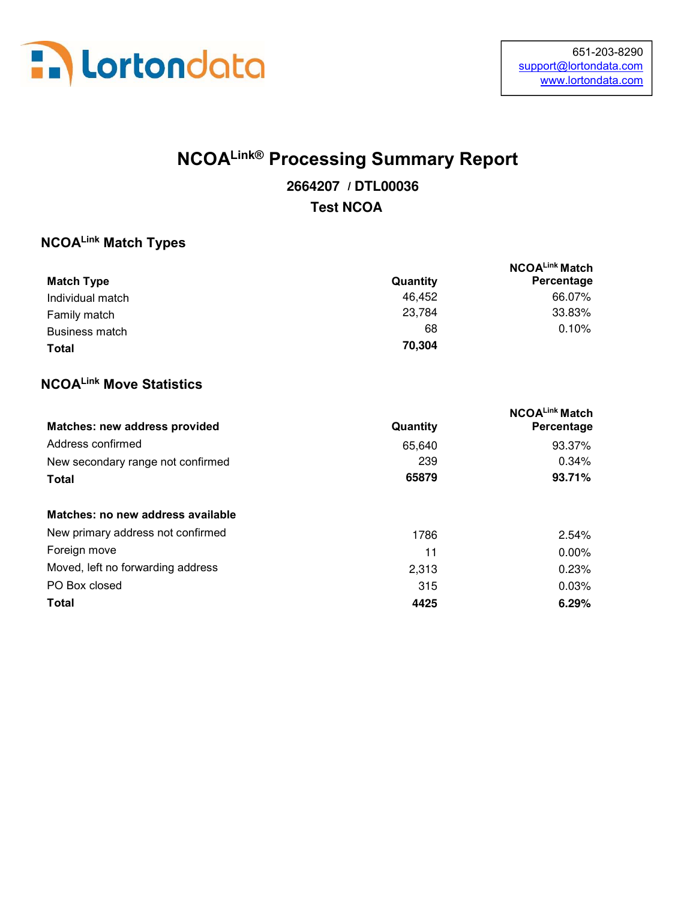

# NCOALink® Processing Summary Report

## / **2664207 DTL00036 Test NCOA**

#### NCOALink Match Types

|                   |          | NCOALink Match |
|-------------------|----------|----------------|
| <b>Match Type</b> | Quantity | Percentage     |
| Individual match  | 46.452   | 66.07%         |
| Family match      | 23,784   | 33.83%         |
| Business match    | 68       | 0.10%          |
| Total             | 70.304   |                |

### NCOALink Move Statistics

|                                   |          | NCOALink Match |
|-----------------------------------|----------|----------------|
| Matches: new address provided     | Quantity | Percentage     |
| Address confirmed                 | 65,640   | 93.37%         |
| New secondary range not confirmed | 239      | $0.34\%$       |
| <b>Total</b>                      | 65879    | 93.71%         |
| Matches: no new address available |          |                |
| New primary address not confirmed | 1786     | 2.54%          |
| Foreign move                      | 11       | $0.00\%$       |
| Moved, left no forwarding address | 2,313    | 0.23%          |
| PO Box closed                     | 315      | 0.03%          |
| <b>Total</b>                      | 4425     | 6.29%          |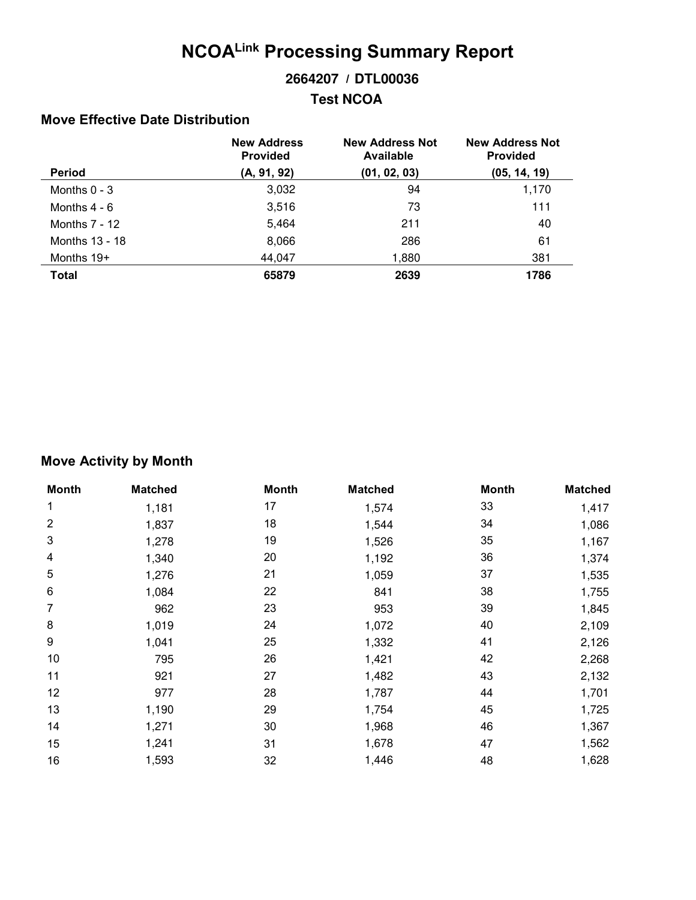# NCOALink Processing Summary Report

#### / **2664207 DTL00036**

#### **Test NCOA**

#### Move Effective Date Distribution

|                 | <b>New Address</b><br><b>Provided</b> | <b>New Address Not</b><br>Available | <b>New Address Not</b><br><b>Provided</b> |
|-----------------|---------------------------------------|-------------------------------------|-------------------------------------------|
| <b>Period</b>   | (A, 91, 92)                           | (01, 02, 03)                        | (05, 14, 19)                              |
| Months $0 - 3$  | 3,032                                 | 94                                  | 1,170                                     |
| Months $4 - 6$  | 3,516                                 | 73                                  | 111                                       |
| Months $7 - 12$ | 5,464                                 | 211                                 | 40                                        |
| Months 13 - 18  | 8,066                                 | 286                                 | 61                                        |
| Months $19+$    | 44,047                                | 1,880                               | 381                                       |
| Total           | 65879                                 | 2639                                | 1786                                      |

#### Move Activity by Month

| <b>Month</b>     | <b>Matched</b> | <b>Month</b> | <b>Matched</b> | <b>Month</b> | <b>Matched</b> |
|------------------|----------------|--------------|----------------|--------------|----------------|
| 1                | 1,181          | 17           | 1,574          | 33           | 1,417          |
| $\overline{2}$   | 1,837          | 18           | 1,544          | 34           | 1,086          |
| 3                | 1,278          | 19           | 1,526          | 35           | 1,167          |
| 4                | 1,340          | 20           | 1,192          | 36           | 1,374          |
| 5                | 1,276          | 21           | 1,059          | 37           | 1,535          |
| 6                | 1,084          | 22           | 841            | 38           | 1,755          |
| 7                | 962            | 23           | 953            | 39           | 1,845          |
| 8                | 1,019          | 24           | 1,072          | 40           | 2,109          |
| $\boldsymbol{9}$ | 1,041          | 25           | 1,332          | 41           | 2,126          |
| 10               | 795            | 26           | 1,421          | 42           | 2,268          |
| 11               | 921            | 27           | 1,482          | 43           | 2,132          |
| 12               | 977            | 28           | 1,787          | 44           | 1,701          |
| 13               | 1,190          | 29           | 1,754          | 45           | 1,725          |
| 14               | 1,271          | 30           | 1,968          | 46           | 1,367          |
| 15               | 1,241          | 31           | 1,678          | 47           | 1,562          |
| 16               | 1,593          | 32           | 1,446          | 48           | 1,628          |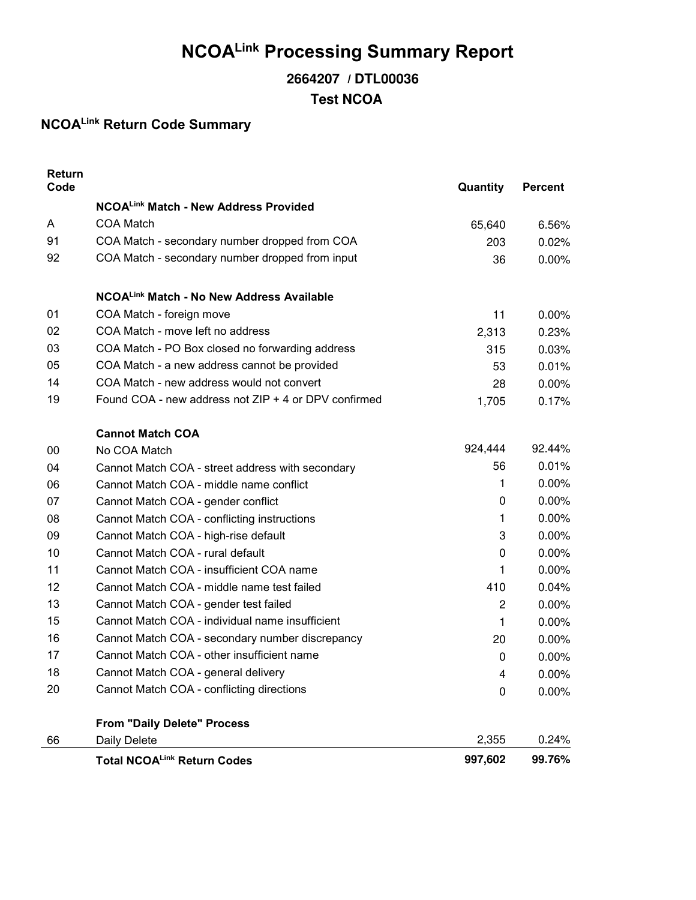# NCOALink Processing Summary Report

## / **2664207 DTL00036 Test NCOA**

## NCOALink Return Code Summary

| Return<br>Code |                                                      | Quantity    | <b>Percent</b> |
|----------------|------------------------------------------------------|-------------|----------------|
|                | NCOALink Match - New Address Provided                |             |                |
| A              | <b>COA Match</b>                                     | 65,640      | 6.56%          |
| 91             | COA Match - secondary number dropped from COA        | 203         | 0.02%          |
| 92             | COA Match - secondary number dropped from input      | 36          | 0.00%          |
|                | NCOALink Match - No New Address Available            |             |                |
| 01             | COA Match - foreign move                             | 11          | 0.00%          |
| 02             | COA Match - move left no address                     | 2,313       | 0.23%          |
| 03             | COA Match - PO Box closed no forwarding address      | 315         | 0.03%          |
| 05             | COA Match - a new address cannot be provided         | 53          | 0.01%          |
| 14             | COA Match - new address would not convert            | 28          | 0.00%          |
| 19             | Found COA - new address not ZIP + 4 or DPV confirmed | 1,705       | 0.17%          |
|                | <b>Cannot Match COA</b>                              |             |                |
| 00             | No COA Match                                         | 924,444     | 92.44%         |
| 04             | Cannot Match COA - street address with secondary     | 56          | 0.01%          |
| 06             | Cannot Match COA - middle name conflict              | 1           | 0.00%          |
| 07             | Cannot Match COA - gender conflict                   | 0           | 0.00%          |
| 08             | Cannot Match COA - conflicting instructions          | 1           | 0.00%          |
| 09             | Cannot Match COA - high-rise default                 | 3           | 0.00%          |
| 10             | Cannot Match COA - rural default                     | $\mathbf 0$ | 0.00%          |
| 11             | Cannot Match COA - insufficient COA name             | 1           | 0.00%          |
| 12             | Cannot Match COA - middle name test failed           | 410         | 0.04%          |
| 13             | Cannot Match COA - gender test failed                | 2           | 0.00%          |
| 15             | Cannot Match COA - individual name insufficient      | 1           | 0.00%          |
| 16             | Cannot Match COA - secondary number discrepancy      | 20          | 0.00%          |
| 17             | Cannot Match COA - other insufficient name           | 0           | 0.00%          |
| 18             | Cannot Match COA - general delivery                  | 4           | $0.00\%$       |
| 20             | Cannot Match COA - conflicting directions            | $\mathbf 0$ | 0.00%          |
|                | <b>From "Daily Delete" Process</b>                   |             |                |
| 66             | Daily Delete                                         | 2,355       | 0.24%          |
|                | <b>Total NCOALink Return Codes</b>                   | 997,602     | 99.76%         |